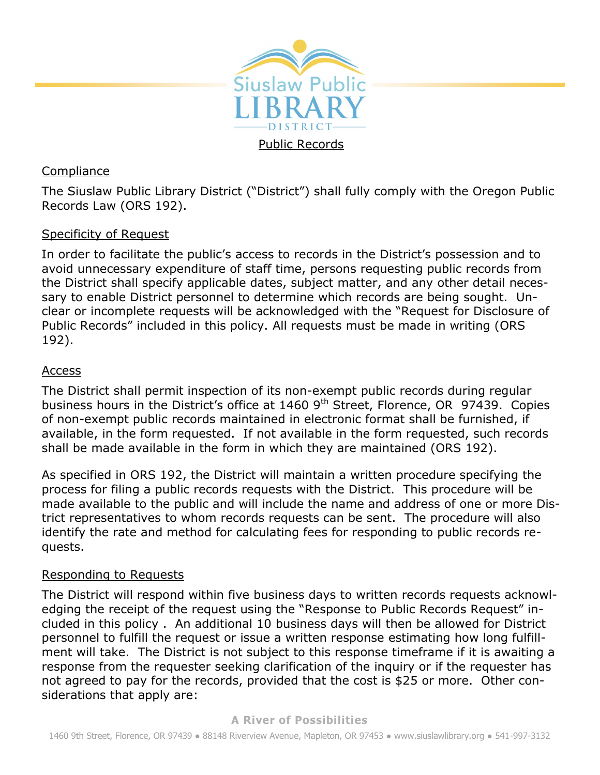

# **Compliance**

The Siuslaw Public Library District ("District") shall fully comply with the Oregon Public Records Law (ORS 192).

# Specificity of Request

In order to facilitate the public's access to records in the District's possession and to avoid unnecessary expenditure of staff time, persons requesting public records from the District shall specify applicable dates, subject matter, and any other detail necessary to enable District personnel to determine which records are being sought. Unclear or incomplete requests will be acknowledged with the "Request for Disclosure of Public Records" included in this policy. All requests must be made in writing (ORS 192).

# Access

The District shall permit inspection of its non-exempt public records during regular business hours in the District's office at 1460 9<sup>th</sup> Street, Florence, OR 97439. Copies of non-exempt public records maintained in electronic format shall be furnished, if available, in the form requested. If not available in the form requested, such records shall be made available in the form in which they are maintained (ORS 192).

As specified in ORS 192, the District will maintain a written procedure specifying the process for filing a public records requests with the District. This procedure will be made available to the public and will include the name and address of one or more District representatives to whom records requests can be sent. The procedure will also identify the rate and method for calculating fees for responding to public records requests.

# Responding to Requests

The District will respond within five business days to written records requests acknowledging the receipt of the request using the "Response to Public Records Request" included in this policy . An additional 10 business days will then be allowed for District personnel to fulfill the request or issue a written response estimating how long fulfillment will take. The District is not subject to this response timeframe if it is awaiting a response from the requester seeking clarification of the inquiry or if the requester has not agreed to pay for the records, provided that the cost is \$25 or more. Other considerations that apply are: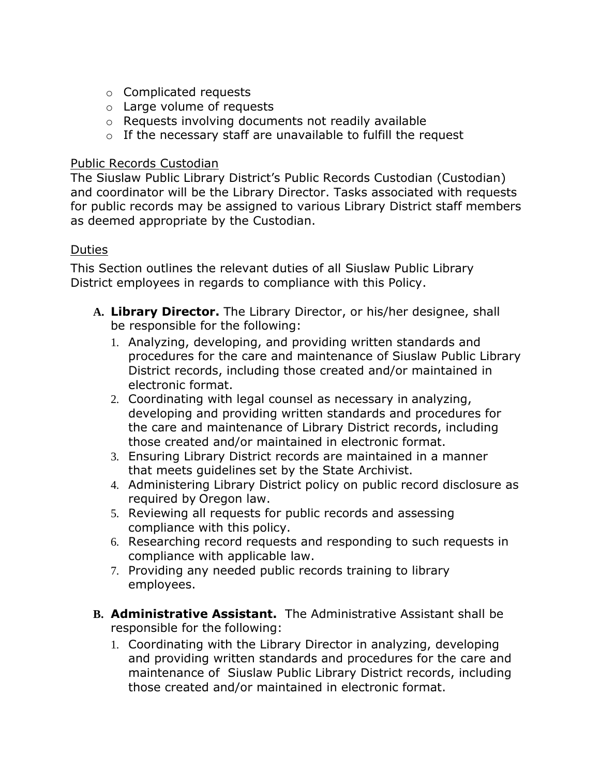- o Complicated requests
- o Large volume of requests
- o Requests involving documents not readily available
- o If the necessary staff are unavailable to fulfill the request

#### Public Records Custodian

The Siuslaw Public Library District's Public Records Custodian (Custodian) and coordinator will be the Library Director. Tasks associated with requests for public records may be assigned to various Library District staff members as deemed appropriate by the Custodian.

### Duties

This Section outlines the relevant duties of all Siuslaw Public Library District employees in regards to compliance with this Policy.

- **A. Library Director.** The Library Director, or his/her designee, shall be responsible for the following:
	- 1. Analyzing, developing, and providing written standards and procedures for the care and maintenance of Siuslaw Public Library District records, including those created and/or maintained in electronic format.
	- 2. Coordinating with legal counsel as necessary in analyzing, developing and providing written standards and procedures for the care and maintenance of Library District records, including those created and/or maintained in electronic format.
	- 3. Ensuring Library District records are maintained in a manner that meets guidelines set by the State Archivist.
	- 4. Administering Library District policy on public record disclosure as required by Oregon law.
	- 5. Reviewing all requests for public records and assessing compliance with this policy.
	- 6. Researching record requests and responding to such requests in compliance with applicable law.
	- 7. Providing any needed public records training to library employees.
- **B. Administrative Assistant.** The Administrative Assistant shall be responsible for the following:
	- 1. Coordinating with the Library Director in analyzing, developing and providing written standards and procedures for the care and maintenance of Siuslaw Public Library District records, including those created and/or maintained in electronic format.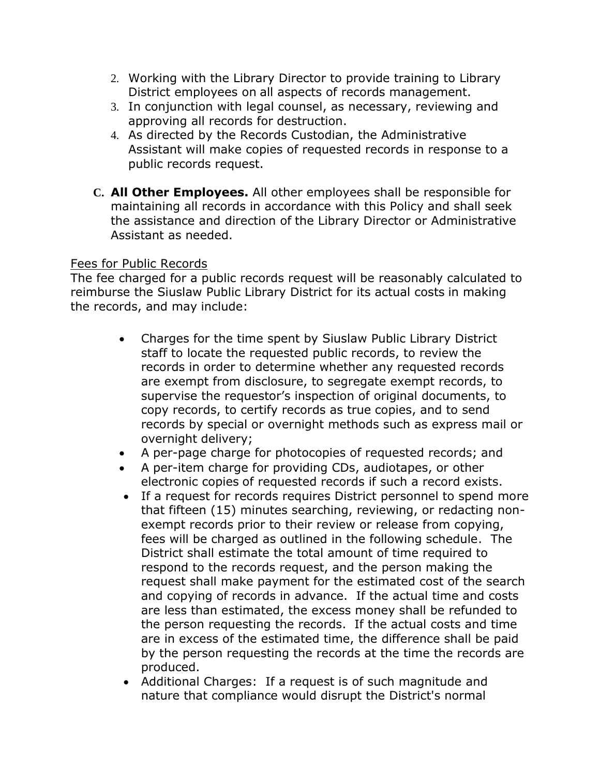- 2. Working with the Library Director to provide training to Library District employees on all aspects of records management.
- 3. In conjunction with legal counsel, as necessary, reviewing and approving all records for destruction.
- 4. As directed by the Records Custodian, the Administrative Assistant will make copies of requested records in response to a public records request.
- **C. All Other Employees.** All other employees shall be responsible for maintaining all records in accordance with this Policy and shall seek the assistance and direction of the Library Director or Administrative Assistant as needed.

## Fees for Public Records

The fee charged for a public records request will be reasonably calculated to reimburse the Siuslaw Public Library District for its actual costs in making the records, and may include:

- Charges for the time spent by Siuslaw Public Library District staff to locate the requested public records, to review the records in order to determine whether any requested records are exempt from disclosure, to segregate exempt records, to supervise the requestor's inspection of original documents, to copy records, to certify records as true copies, and to send records by special or overnight methods such as express mail or overnight delivery;
- A per-page charge for photocopies of requested records; and
- A per-item charge for providing CDs, audiotapes, or other electronic copies of requested records if such a record exists.
- If a request for records requires District personnel to spend more that fifteen (15) minutes searching, reviewing, or redacting nonexempt records prior to their review or release from copying, fees will be charged as outlined in the following schedule. The District shall estimate the total amount of time required to respond to the records request, and the person making the request shall make payment for the estimated cost of the search and copying of records in advance. If the actual time and costs are less than estimated, the excess money shall be refunded to the person requesting the records. If the actual costs and time are in excess of the estimated time, the difference shall be paid by the person requesting the records at the time the records are produced.
- Additional Charges: If a request is of such magnitude and nature that compliance would disrupt the District's normal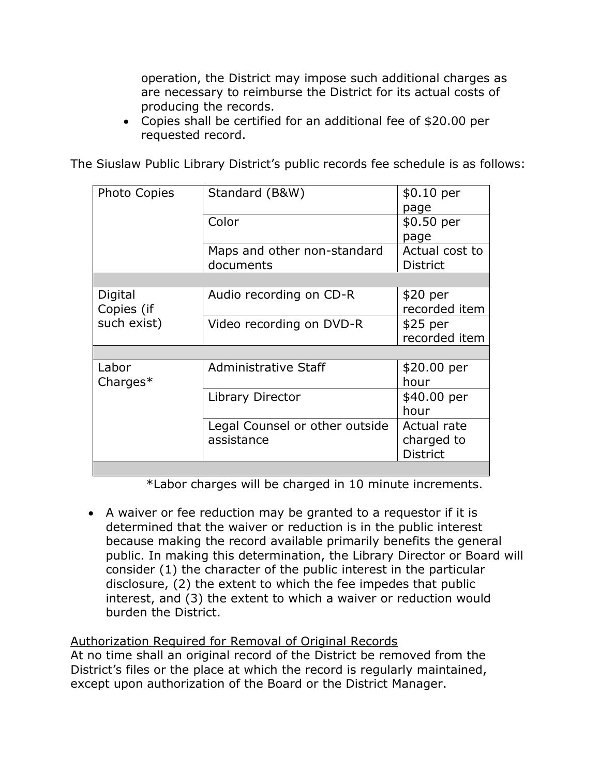operation, the District may impose such additional charges as are necessary to reimburse the District for its actual costs of producing the records.

 Copies shall be certified for an additional fee of \$20.00 per requested record.

The Siuslaw Public Library District's public records fee schedule is as follows:

| Standard (B&W)                 | \$0.10 per      |
|--------------------------------|-----------------|
|                                | page            |
| Color                          | \$0.50 per      |
|                                | page            |
| Maps and other non-standard    | Actual cost to  |
| documents                      | <b>District</b> |
|                                |                 |
| Audio recording on CD-R        | \$20 per        |
|                                | recorded item   |
| Video recording on DVD-R       | $$25$ per       |
|                                | recorded item   |
|                                |                 |
| Administrative Staff           | \$20.00 per     |
|                                | hour            |
| Library Director               | \$40.00 per     |
|                                | hour            |
| Legal Counsel or other outside | Actual rate     |
| assistance                     | charged to      |
|                                | <b>District</b> |
|                                |                 |

\*Labor charges will be charged in 10 minute increments.

 A waiver or fee reduction may be granted to a requestor if it is determined that the waiver or reduction is in the public interest because making the record available primarily benefits the general public. In making this determination, the Library Director or Board will consider (1) the character of the public interest in the particular disclosure, (2) the extent to which the fee impedes that public interest, and (3) the extent to which a waiver or reduction would burden the District.

# Authorization Required for Removal of Original Records

At no time shall an original record of the District be removed from the District's files or the place at which the record is regularly maintained, except upon authorization of the Board or the District Manager.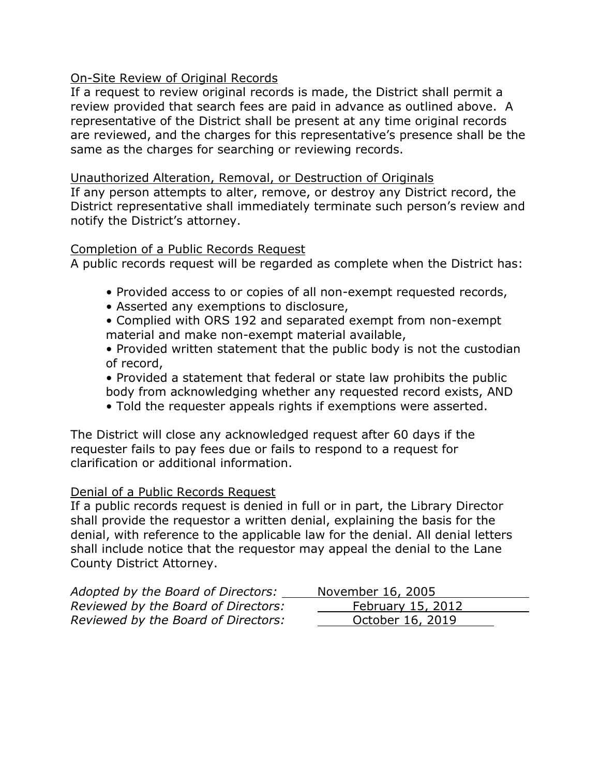### On-Site Review of Original Records

If a request to review original records is made, the District shall permit a review provided that search fees are paid in advance as outlined above. A representative of the District shall be present at any time original records are reviewed, and the charges for this representative's presence shall be the same as the charges for searching or reviewing records.

### Unauthorized Alteration, Removal, or Destruction of Originals

If any person attempts to alter, remove, or destroy any District record, the District representative shall immediately terminate such person's review and notify the District's attorney.

#### Completion of a Public Records Request

A public records request will be regarded as complete when the District has:

- Provided access to or copies of all non-exempt requested records,
- Asserted any exemptions to disclosure,
- Complied with ORS 192 and separated exempt from non-exempt material and make non-exempt material available,
- Provided written statement that the public body is not the custodian of record,
- Provided a statement that federal or state law prohibits the public body from acknowledging whether any requested record exists, AND
- Told the requester appeals rights if exemptions were asserted.

The District will close any acknowledged request after 60 days if the requester fails to pay fees due or fails to respond to a request for clarification or additional information.

#### Denial of a Public Records Request

If a public records request is denied in full or in part, the Library Director shall provide the requestor a written denial, explaining the basis for the denial, with reference to the applicable law for the denial. All denial letters shall include notice that the requestor may appeal the denial to the Lane County District Attorney.

| Adopted by the Board of Directors:  | November 16, 2005 |
|-------------------------------------|-------------------|
| Reviewed by the Board of Directors: | February 15, 2012 |
| Reviewed by the Board of Directors: | October 16, 2019  |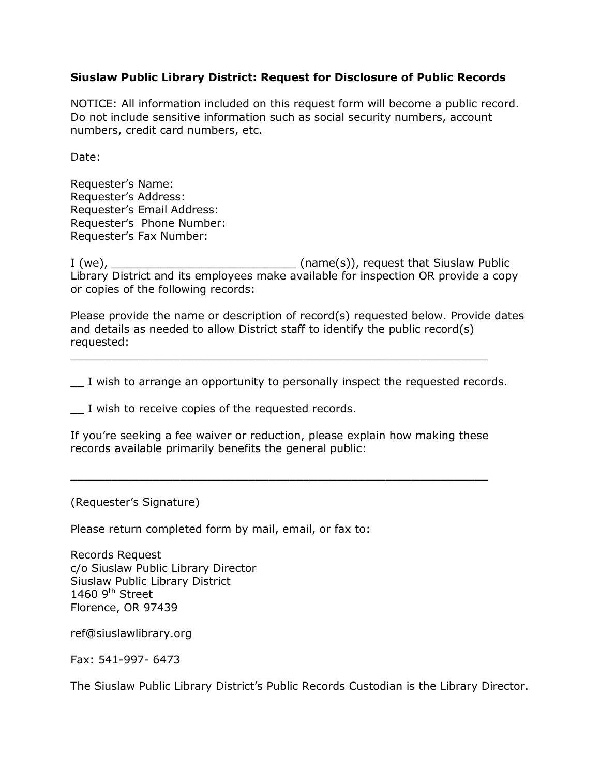#### **Siuslaw Public Library District: Request for Disclosure of Public Records**

NOTICE: All information included on this request form will become a public record. Do not include sensitive information such as social security numbers, account numbers, credit card numbers, etc.

Date:

Requester's Name: Requester's Address: Requester's Email Address: Requester's Phone Number: Requester's Fax Number:

I (we), \_\_\_\_\_\_\_\_\_\_\_\_\_\_\_\_\_\_\_\_\_\_\_\_\_\_\_ (name(s)), request that Siuslaw Public Library District and its employees make available for inspection OR provide a copy or copies of the following records:

Please provide the name or description of record(s) requested below. Provide dates and details as needed to allow District staff to identify the public record(s) requested:

\_\_ I wish to arrange an opportunity to personally inspect the requested records.

\_\_\_\_\_\_\_\_\_\_\_\_\_\_\_\_\_\_\_\_\_\_\_\_\_\_\_\_\_\_\_\_\_\_\_\_\_\_\_\_\_\_\_\_\_\_\_\_\_\_\_\_\_\_\_\_\_\_\_\_\_

\_\_ I wish to receive copies of the requested records.

If you're seeking a fee waiver or reduction, please explain how making these records available primarily benefits the general public:

\_\_\_\_\_\_\_\_\_\_\_\_\_\_\_\_\_\_\_\_\_\_\_\_\_\_\_\_\_\_\_\_\_\_\_\_\_\_\_\_\_\_\_\_\_\_\_\_\_\_\_\_\_\_\_\_\_\_\_\_\_

(Requester's Signature)

Please return completed form by mail, email, or fax to:

Records Request c/o Siuslaw Public Library Director Siuslaw Public Library District 1460  $9<sup>th</sup>$  Street Florence, OR 97439

ref@siuslawlibrary.org

Fax: 541-997- 6473

The Siuslaw Public Library District's Public Records Custodian is the Library Director.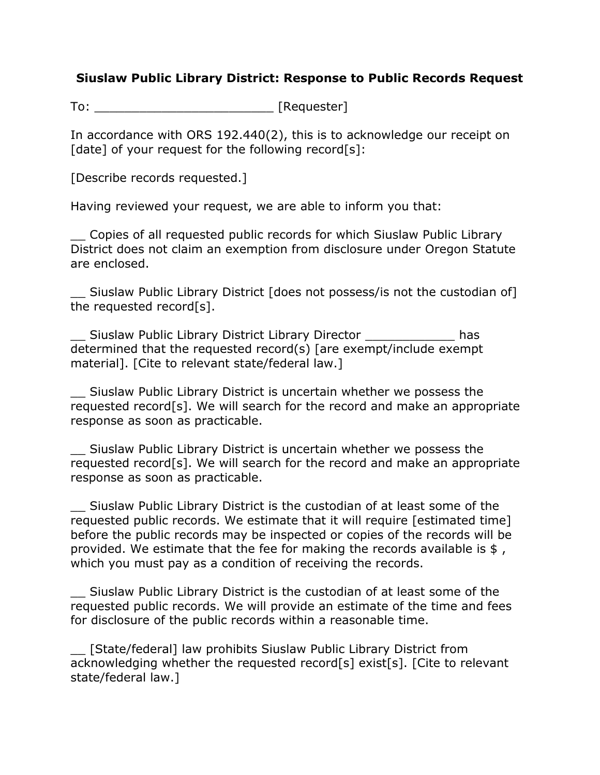## **Siuslaw Public Library District: Response to Public Records Request**

To: \_\_\_\_\_\_\_\_\_\_\_\_\_\_\_\_\_\_\_\_\_\_\_\_ [Requester]

In accordance with ORS 192.440(2), this is to acknowledge our receipt on [date] of your request for the following record[s]:

[Describe records requested.]

Having reviewed your request, we are able to inform you that:

\_\_ Copies of all requested public records for which Siuslaw Public Library District does not claim an exemption from disclosure under Oregon Statute are enclosed.

Siuslaw Public Library District [does not possess/is not the custodian of] the requested record[s].

\_\_ Siuslaw Public Library District Library Director \_\_\_\_\_\_\_\_\_\_\_\_ has determined that the requested record(s) [are exempt/include exempt material]. [Cite to relevant state/federal law.]

\_\_ Siuslaw Public Library District is uncertain whether we possess the requested record[s]. We will search for the record and make an appropriate response as soon as practicable.

\_\_ Siuslaw Public Library District is uncertain whether we possess the requested record[s]. We will search for the record and make an appropriate response as soon as practicable.

\_\_ Siuslaw Public Library District is the custodian of at least some of the requested public records. We estimate that it will require [estimated time] before the public records may be inspected or copies of the records will be provided. We estimate that the fee for making the records available is \$, which you must pay as a condition of receiving the records.

\_\_ Siuslaw Public Library District is the custodian of at least some of the requested public records. We will provide an estimate of the time and fees for disclosure of the public records within a reasonable time.

\_\_ [State/federal] law prohibits Siuslaw Public Library District from acknowledging whether the requested record[s] exist[s]. [Cite to relevant state/federal law.]